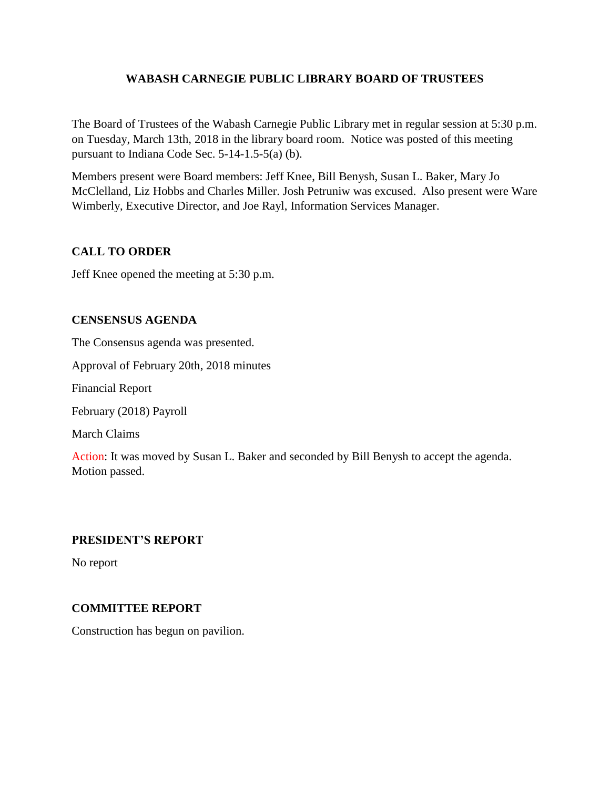# **WABASH CARNEGIE PUBLIC LIBRARY BOARD OF TRUSTEES**

The Board of Trustees of the Wabash Carnegie Public Library met in regular session at 5:30 p.m. on Tuesday, March 13th, 2018 in the library board room. Notice was posted of this meeting pursuant to Indiana Code Sec. 5-14-1.5-5(a) (b).

Members present were Board members: Jeff Knee, Bill Benysh, Susan L. Baker, Mary Jo McClelland, Liz Hobbs and Charles Miller. Josh Petruniw was excused. Also present were Ware Wimberly, Executive Director, and Joe Rayl, Information Services Manager.

# **CALL TO ORDER**

Jeff Knee opened the meeting at 5:30 p.m.

## **CENSENSUS AGENDA**

The Consensus agenda was presented.

Approval of February 20th, 2018 minutes

Financial Report

February (2018) Payroll

March Claims

Action: It was moved by Susan L. Baker and seconded by Bill Benysh to accept the agenda. Motion passed.

## **PRESIDENT'S REPORT**

No report

## **COMMITTEE REPORT**

Construction has begun on pavilion.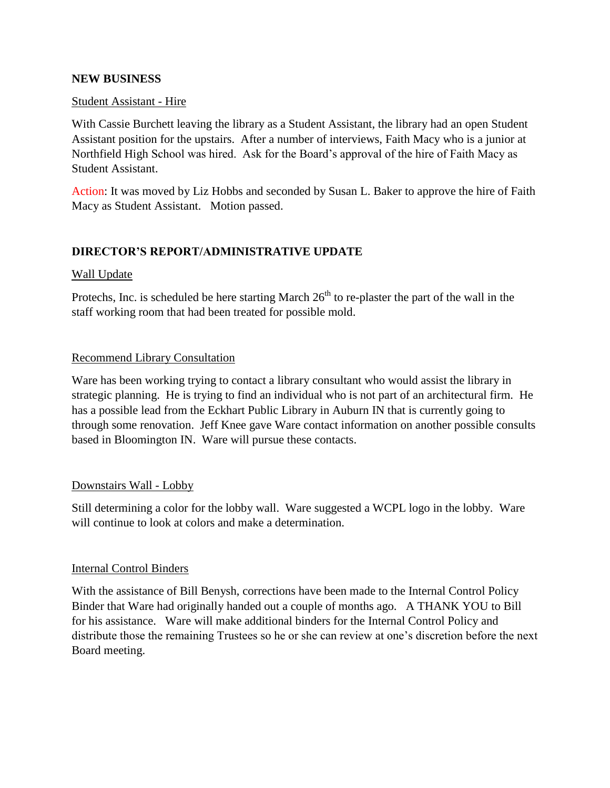## **NEW BUSINESS**

## Student Assistant - Hire

With Cassie Burchett leaving the library as a Student Assistant, the library had an open Student Assistant position for the upstairs. After a number of interviews, Faith Macy who is a junior at Northfield High School was hired. Ask for the Board's approval of the hire of Faith Macy as Student Assistant.

Action: It was moved by Liz Hobbs and seconded by Susan L. Baker to approve the hire of Faith Macy as Student Assistant. Motion passed.

# **DIRECTOR'S REPORT/ADMINISTRATIVE UPDATE**

## Wall Update

Protechs, Inc. is scheduled be here starting March  $26<sup>th</sup>$  to re-plaster the part of the wall in the staff working room that had been treated for possible mold.

## Recommend Library Consultation

Ware has been working trying to contact a library consultant who would assist the library in strategic planning. He is trying to find an individual who is not part of an architectural firm. He has a possible lead from the Eckhart Public Library in Auburn IN that is currently going to through some renovation. Jeff Knee gave Ware contact information on another possible consults based in Bloomington IN. Ware will pursue these contacts.

## Downstairs Wall - Lobby

Still determining a color for the lobby wall. Ware suggested a WCPL logo in the lobby. Ware will continue to look at colors and make a determination.

#### Internal Control Binders

With the assistance of Bill Benysh, corrections have been made to the Internal Control Policy Binder that Ware had originally handed out a couple of months ago. A THANK YOU to Bill for his assistance. Ware will make additional binders for the Internal Control Policy and distribute those the remaining Trustees so he or she can review at one's discretion before the next Board meeting.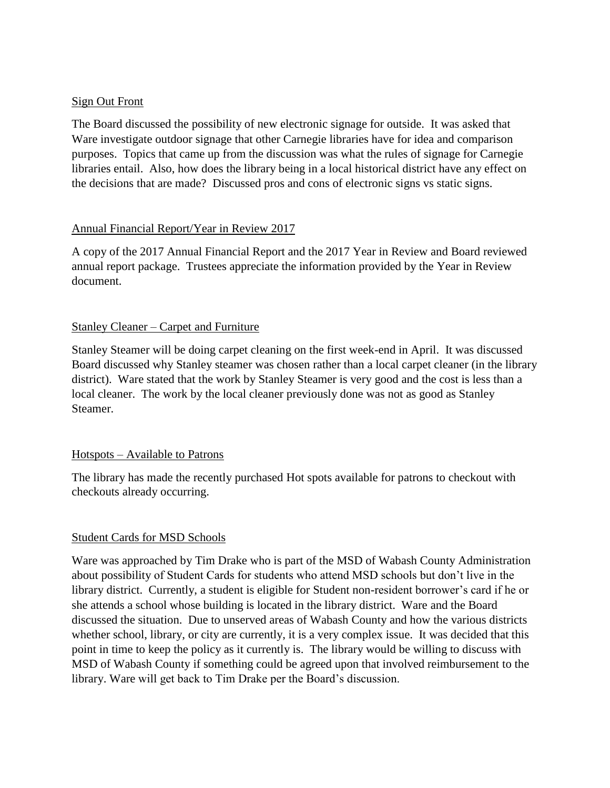## Sign Out Front

The Board discussed the possibility of new electronic signage for outside. It was asked that Ware investigate outdoor signage that other Carnegie libraries have for idea and comparison purposes. Topics that came up from the discussion was what the rules of signage for Carnegie libraries entail. Also, how does the library being in a local historical district have any effect on the decisions that are made? Discussed pros and cons of electronic signs vs static signs.

## Annual Financial Report/Year in Review 2017

A copy of the 2017 Annual Financial Report and the 2017 Year in Review and Board reviewed annual report package. Trustees appreciate the information provided by the Year in Review document.

## Stanley Cleaner – Carpet and Furniture

Stanley Steamer will be doing carpet cleaning on the first week-end in April. It was discussed Board discussed why Stanley steamer was chosen rather than a local carpet cleaner (in the library district). Ware stated that the work by Stanley Steamer is very good and the cost is less than a local cleaner. The work by the local cleaner previously done was not as good as Stanley Steamer.

# Hotspots – Available to Patrons

The library has made the recently purchased Hot spots available for patrons to checkout with checkouts already occurring.

## Student Cards for MSD Schools

Ware was approached by Tim Drake who is part of the MSD of Wabash County Administration about possibility of Student Cards for students who attend MSD schools but don't live in the library district. Currently, a student is eligible for Student non-resident borrower's card if he or she attends a school whose building is located in the library district. Ware and the Board discussed the situation. Due to unserved areas of Wabash County and how the various districts whether school, library, or city are currently, it is a very complex issue. It was decided that this point in time to keep the policy as it currently is. The library would be willing to discuss with MSD of Wabash County if something could be agreed upon that involved reimbursement to the library. Ware will get back to Tim Drake per the Board's discussion.